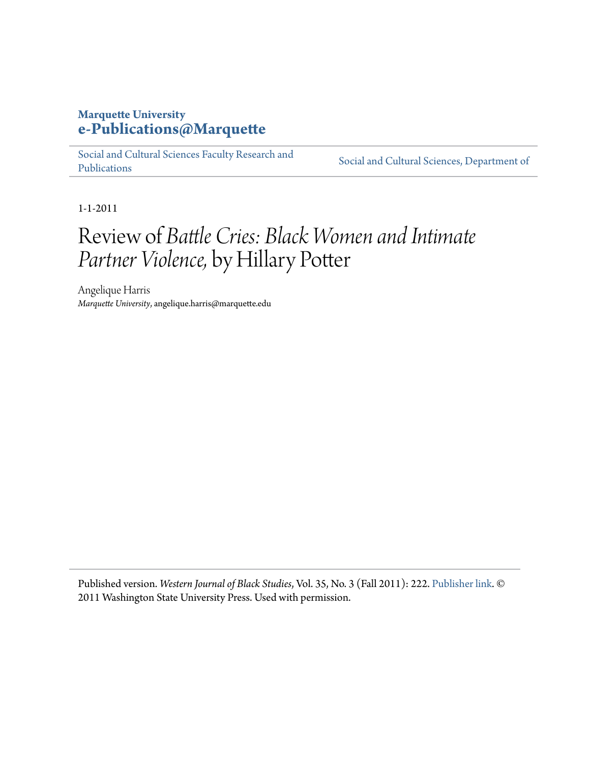## **Marquette University [e-Publications@Marquette](https://epublications.marquette.edu)**

[Social and Cultural Sciences Faculty Research and](https://epublications.marquette.edu/socs_fac) [Publications](https://epublications.marquette.edu/socs_fac)

[Social and Cultural Sciences, Department of](https://epublications.marquette.edu/socs)

1-1-2011

## Review of *Battle Cries: Black Women and Intimate Partner Violence,* by Hillary Potter

Angelique Harris *Marquette University*, angelique.harris@marquette.edu

Published version. *Western Journal of Black Studies*, Vol. 35, No. 3 (Fall 2011): 222. [Publisher link.](http://public.wsu.edu/~wjbs/vol353.html) © 2011 Washington State University Press. Used with permission.